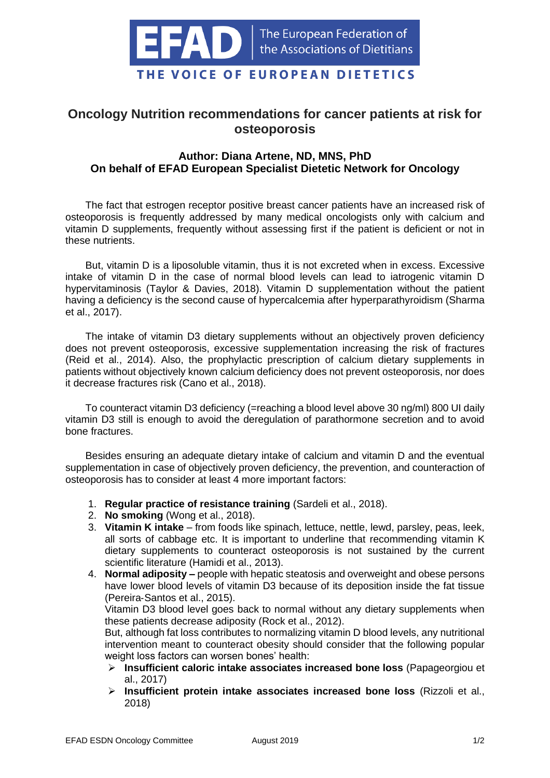

## **Oncology Nutrition recommendations for cancer patients at risk for osteoporosis**

## **Author: Diana Artene, ND, MNS, PhD On behalf of EFAD European Specialist Dietetic Network for Oncology**

The fact that estrogen receptor positive breast cancer patients have an increased risk of osteoporosis is frequently addressed by many medical oncologists only with calcium and vitamin D supplements, frequently without assessing first if the patient is deficient or not in these nutrients.

But, vitamin D is a liposoluble vitamin, thus it is not excreted when in excess. Excessive intake of vitamin D in the case of normal blood levels can lead to iatrogenic vitamin D hypervitaminosis (Taylor & Davies, 2018). Vitamin D supplementation without the patient having a deficiency is the second cause of hypercalcemia after hyperparathyroidism (Sharma et al., 2017).

The intake of vitamin D3 dietary supplements without an objectively proven deficiency does not prevent osteoporosis, excessive supplementation increasing the risk of fractures (Reid et al., 2014). Also, the prophylactic prescription of calcium dietary supplements in patients without objectively known calcium deficiency does not prevent osteoporosis, nor does it decrease fractures risk (Cano et al., 2018).

To counteract vitamin D3 deficiency (=reaching a blood level above 30 ng/ml) 800 UI daily vitamin D3 still is enough to avoid the deregulation of parathormone secretion and to avoid bone fractures.

Besides ensuring an adequate dietary intake of calcium and vitamin D and the eventual supplementation in case of objectively proven deficiency, the prevention, and counteraction of osteoporosis has to consider at least 4 more important factors:

- 1. **Regular practice of resistance training** (Sardeli et al., 2018).
- 2. **No smoking** (Wong et al., 2018).
- 3. **Vitamin K intake** from foods like spinach, lettuce, nettle, lewd, parsley, peas, leek, all sorts of cabbage etc. It is important to underline that recommending vitamin K dietary supplements to counteract osteoporosis is not sustained by the current scientific literature (Hamidi et al., 2013).
- 4. **Normal adiposity –** people with hepatic steatosis and overweight and obese persons have lower blood levels of vitamin D3 because of its deposition inside the fat tissue (Pereira‐Santos et al., 2015).

Vitamin D3 blood level goes back to normal without any dietary supplements when these patients decrease adiposity (Rock et al., 2012).

But, although fat loss contributes to normalizing vitamin D blood levels, any nutritional intervention meant to counteract obesity should consider that the following popular weight loss factors can worsen bones' health:

- ➢ **Insufficient caloric intake associates increased bone loss** (Papageorgiou et al., 2017)
- ➢ **Insufficient protein intake associates increased bone loss** (Rizzoli et al., 2018)